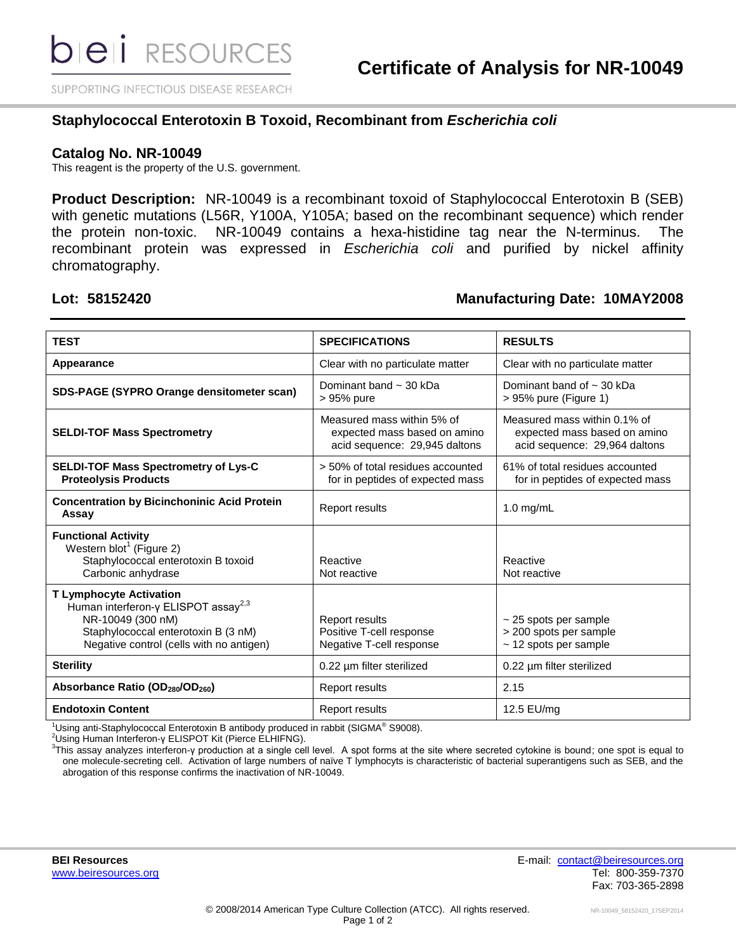SUPPORTING INFECTIOUS DISEASE RESEARCH

### **Staphylococcal Enterotoxin B Toxoid, Recombinant from** *Escherichia coli*

#### **Catalog No. NR-10049**

This reagent is the property of the U.S. government.

**Product Description:** NR-10049 is a recombinant toxoid of Staphylococcal Enterotoxin B (SEB) with genetic mutations (L56R, Y100A, Y105A; based on the recombinant sequence) which render the protein non-toxic. NR-10049 contains a hexa-histidine tag near the N-terminus. The recombinant protein was expressed in *Escherichia coli* and purified by nickel affinity chromatography.

### **Lot: 58152420 Manufacturing Date: 10MAY2008**

| <b>TEST</b>                                                                                                                                                                                       | <b>SPECIFICATIONS</b>                                                                       | <b>RESULTS</b>                                                                                |
|---------------------------------------------------------------------------------------------------------------------------------------------------------------------------------------------------|---------------------------------------------------------------------------------------------|-----------------------------------------------------------------------------------------------|
| Appearance                                                                                                                                                                                        | Clear with no particulate matter                                                            | Clear with no particulate matter                                                              |
| SDS-PAGE (SYPRO Orange densitometer scan)                                                                                                                                                         | Dominant band $\sim$ 30 kDa<br>> 95% pure                                                   | Dominant band of $\sim$ 30 kDa<br>> 95% pure (Figure 1)                                       |
| <b>SELDI-TOF Mass Spectrometry</b>                                                                                                                                                                | Measured mass within 5% of<br>expected mass based on amino<br>acid sequence: 29,945 daltons | Measured mass within 0.1% of<br>expected mass based on amino<br>acid sequence: 29,964 daltons |
| <b>SELDI-TOF Mass Spectrometry of Lys-C</b><br><b>Proteolysis Products</b>                                                                                                                        | > 50% of total residues accounted<br>for in peptides of expected mass                       | 61% of total residues accounted<br>for in peptides of expected mass                           |
| <b>Concentration by Bicinchoninic Acid Protein</b><br>Assay                                                                                                                                       | <b>Report results</b>                                                                       | $1.0$ mg/mL                                                                                   |
| <b>Functional Activity</b><br>Western blot <sup>1</sup> (Figure 2)<br>Staphylococcal enterotoxin B toxoid<br>Carbonic anhydrase                                                                   | Reactive<br>Not reactive                                                                    | Reactive<br>Not reactive                                                                      |
| <b>T Lymphocyte Activation</b><br>Human interferon- $\gamma$ ELISPOT assay <sup>2,3</sup><br>NR-10049 (300 nM)<br>Staphylococcal enterotoxin B (3 nM)<br>Negative control (cells with no antigen) | <b>Report results</b><br>Positive T-cell response<br>Negative T-cell response               | $\sim$ 25 spots per sample<br>> 200 spots per sample<br>~ 12 spots per sample                 |
| <b>Sterility</b>                                                                                                                                                                                  | 0.22 µm filter sterilized                                                                   | 0.22 µm filter sterilized                                                                     |
| Absorbance Ratio (OD <sub>280</sub> /OD <sub>260</sub> )                                                                                                                                          | <b>Report results</b>                                                                       | 2.15                                                                                          |
| <b>Endotoxin Content</b>                                                                                                                                                                          | <b>Report results</b>                                                                       | 12.5 EU/mg                                                                                    |

 $1$ Using anti-Staphylococcal Enterotoxin B antibody produced in rabbit (SIGMA® S9008).

<sup>2</sup>Using Human Interferon-γ ELISPOT Kit (Pierce ELHIFNG).

<sup>3</sup> This assay analyzes interferon-γ production at a single cell level. A spot forms at the site where secreted cytokine is bound; one spot is equal to one molecule-secreting cell. Activation of large numbers of naïve T lymphocyts is characteristic of bacterial superantigens such as SEB, and the abrogation of this response confirms the inactivation of NR-10049.